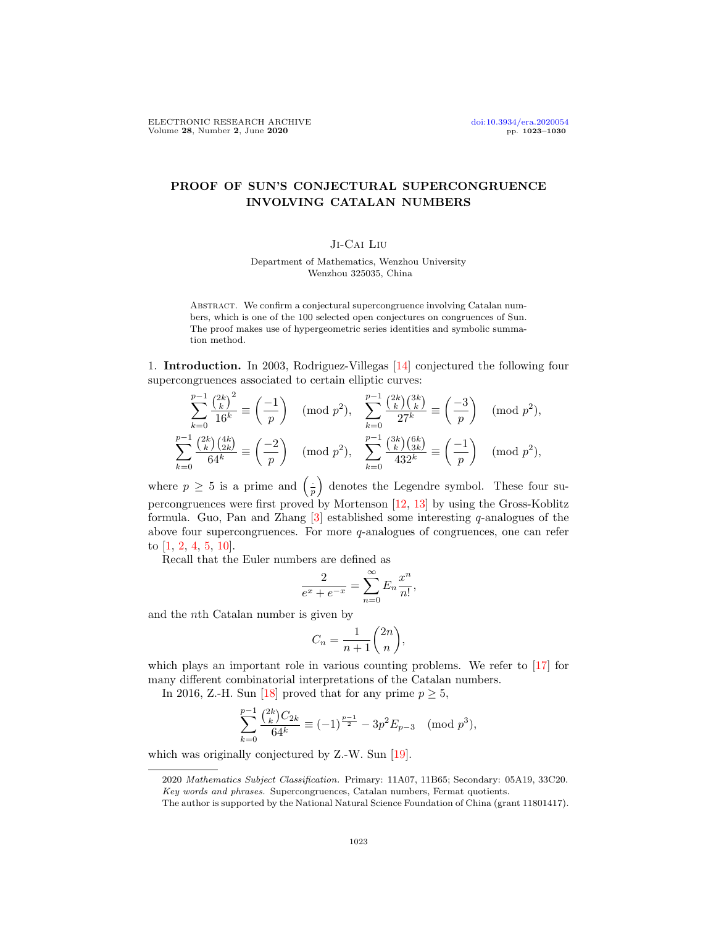# PROOF OF SUN'S CONJECTURAL SUPERCONGRUENCE INVOLVING CATALAN NUMBERS

## Ji-Cai Liu

Department of Mathematics, Wenzhou University Wenzhou 325035, China

Abstract. We confirm a conjectural supercongruence involving Catalan numbers, which is one of the 100 selected open conjectures on congruences of Sun. The proof makes use of hypergeometric series identities and symbolic summation method.

1. Introduction. In 2003, Rodriguez-Villegas [\[14\]](#page-7-0) conjectured the following four supercongruences associated to certain elliptic curves:

$$
\sum_{k=0}^{p-1} \frac{\binom{2k}{k}^2}{16^k} \equiv \left(\frac{-1}{p}\right) \pmod{p^2}, \quad \sum_{k=0}^{p-1} \frac{\binom{2k}{k}\binom{3k}{k}}{27^k} \equiv \left(\frac{-3}{p}\right) \pmod{p^2},
$$
  

$$
\sum_{k=0}^{p-1} \frac{\binom{2k}{k}\binom{4k}{2k}}{64^k} \equiv \left(\frac{-2}{p}\right) \pmod{p^2}, \quad \sum_{k=0}^{p-1} \frac{\binom{3k}{k}\binom{6k}{3k}}{432^k} \equiv \left(\frac{-1}{p}\right) \pmod{p^2},
$$

where  $p \geq 5$  is a prime and  $\left(\frac{1}{p}\right)$  denotes the Legendre symbol. These four supercongruences were first proved by Mortenson [\[12,](#page-7-1) [13\]](#page-7-2) by using the Gross-Koblitz formula. Guo, Pan and Zhang  $[3]$  established some interesting q-analogues of the above four supercongruences. For more q-analogues of congruences, one can refer to [\[1,](#page-7-4) [2,](#page-7-5) [4,](#page-7-6) [5,](#page-7-7) [10\]](#page-7-8).

Recall that the Euler numbers are defined as

$$
\frac{2}{e^x + e^{-x}} = \sum_{n=0}^{\infty} E_n \frac{x^n}{n!},
$$

and the nth Catalan number is given by

$$
C_n = \frac{1}{n+1} \binom{2n}{n},
$$

which plays an important role in various counting problems. We refer to [\[17\]](#page-7-9) for many different combinatorial interpretations of the Catalan numbers.

In 2016, Z.-H. Sun [\[18\]](#page-7-10) proved that for any prime  $p \geq 5$ ,

$$
\sum_{k=0}^{p-1} \frac{\binom{2k}{k} C_{2k}}{64^k} \equiv (-1)^{\frac{p-1}{2}} - 3p^2 E_{p-3} \pmod{p^3},
$$

which was originally conjectured by Z.-W. Sun [\[19\]](#page-7-11).

<sup>2020</sup> Mathematics Subject Classification. Primary: 11A07, 11B65; Secondary: 05A19, 33C20. Key words and phrases. Supercongruences, Catalan numbers, Fermat quotients.

The author is supported by the National Natural Science Foundation of China (grant 11801417).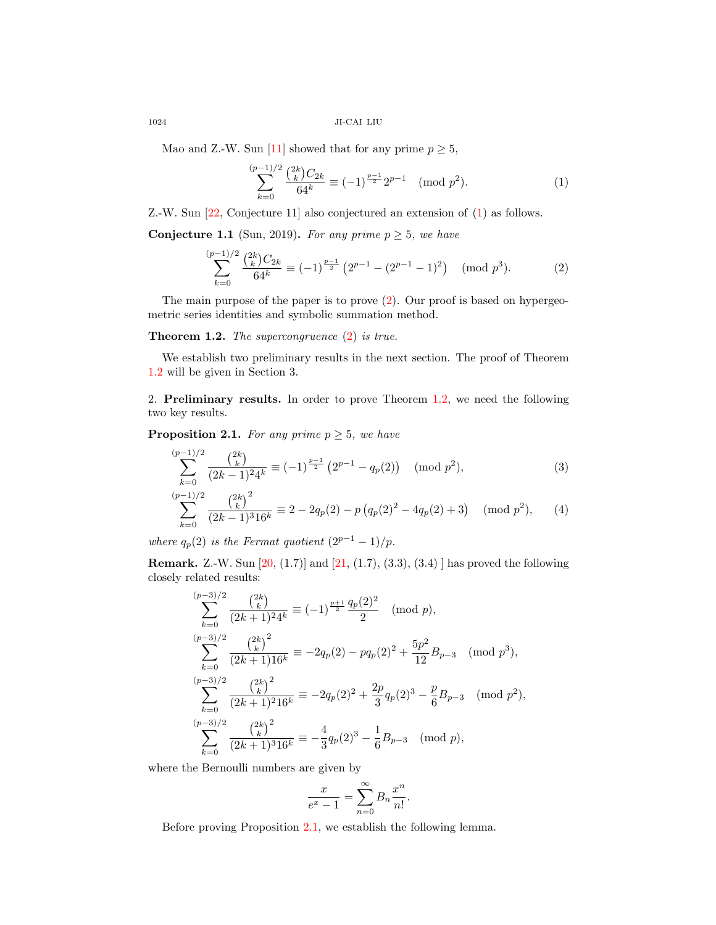1024 JI-CAI LIU

Mao and Z.-W. Sun [\[11\]](#page-7-12) showed that for any prime  $p \geq 5$ ,

<span id="page-1-1"></span><span id="page-1-0"></span>
$$
\sum_{k=0}^{(p-1)/2} \frac{\binom{2k}{k} C_{2k}}{64^k} \equiv (-1)^{\frac{p-1}{2}} 2^{p-1} \pmod{p^2}.
$$
 (1)

Z.-W. Sun [\[22,](#page-7-13) Conjecture 11] also conjectured an extension of [\(1\)](#page-1-0) as follows.

Conjecture 1.1 (Sun, 2019). For any prime  $p \geq 5$ , we have

$$
\sum_{k=0}^{(p-1)/2} \frac{\binom{2k}{k} C_{2k}}{64^k} \equiv (-1)^{\frac{p-1}{2}} \left( 2^{p-1} - (2^{p-1} - 1)^2 \right) \pmod{p^3}.
$$
 (2)

The main purpose of the paper is to prove [\(2\)](#page-1-1). Our proof is based on hypergeometric series identities and symbolic summation method.

### <span id="page-1-2"></span>Theorem 1.2. The supercongruence [\(2\)](#page-1-1) is true.

We establish two preliminary results in the next section. The proof of Theorem [1.2](#page-1-2) will be given in Section 3.

2. Preliminary results. In order to prove Theorem [1.2,](#page-1-2) we need the following two key results.

<span id="page-1-3"></span>**Proposition 2.1.** For any prime  $p \geq 5$ , we have

<span id="page-1-4"></span>
$$
\sum_{k=0}^{(p-1)/2} \frac{\binom{2k}{k}}{(2k-1)^2 4^k} \equiv (-1)^{\frac{p-1}{2}} \left( 2^{p-1} - q_p(2) \right) \pmod{p^2},\tag{3}
$$

$$
\sum_{k=0}^{(p-1)/2} \frac{\binom{2k}{k}^2}{(2k-1)^3 16^k} \equiv 2 - 2q_p(2) - p\left(q_p(2)^2 - 4q_p(2) + 3\right) \pmod{p^2},\tag{4}
$$

where  $q_p(2)$  is the Fermat quotient  $(2^{p-1}-1)/p$ .

**Remark.** Z.-W. Sun [\[20,](#page-7-14) (1.7)] and [\[21,](#page-7-15) (1.7), (3.3), (3.4)] has proved the following closely related results:

<span id="page-1-5"></span>
$$
\sum_{k=0}^{(p-3)/2} \frac{\binom{2k}{k}}{(2k+1)^2 4^k} \equiv (-1)^{\frac{p+1}{2}} \frac{q_p(2)^2}{2} \pmod{p},
$$
  
\n
$$
\sum_{k=0}^{(p-3)/2} \frac{\binom{2k}{k}^2}{(2k+1)16^k} \equiv -2q_p(2) - pq_p(2)^2 + \frac{5p^2}{12} B_{p-3} \pmod{p^3},
$$
  
\n
$$
\sum_{k=0}^{(p-3)/2} \frac{\binom{2k}{k}^2}{(2k+1)^2 16^k} \equiv -2q_p(2)^2 + \frac{2p}{3} q_p(2)^3 - \frac{p}{6} B_{p-3} \pmod{p^2},
$$
  
\n
$$
\sum_{k=0}^{(p-3)/2} \frac{\binom{2k}{k}^2}{(2k+1)^3 16^k} \equiv -\frac{4}{3} q_p(2)^3 - \frac{1}{6} B_{p-3} \pmod{p},
$$

where the Bernoulli numbers are given by

$$
\frac{x}{e^x - 1} = \sum_{n=0}^{\infty} B_n \frac{x^n}{n!}.
$$

Before proving Proposition [2.1,](#page-1-3) we establish the following lemma.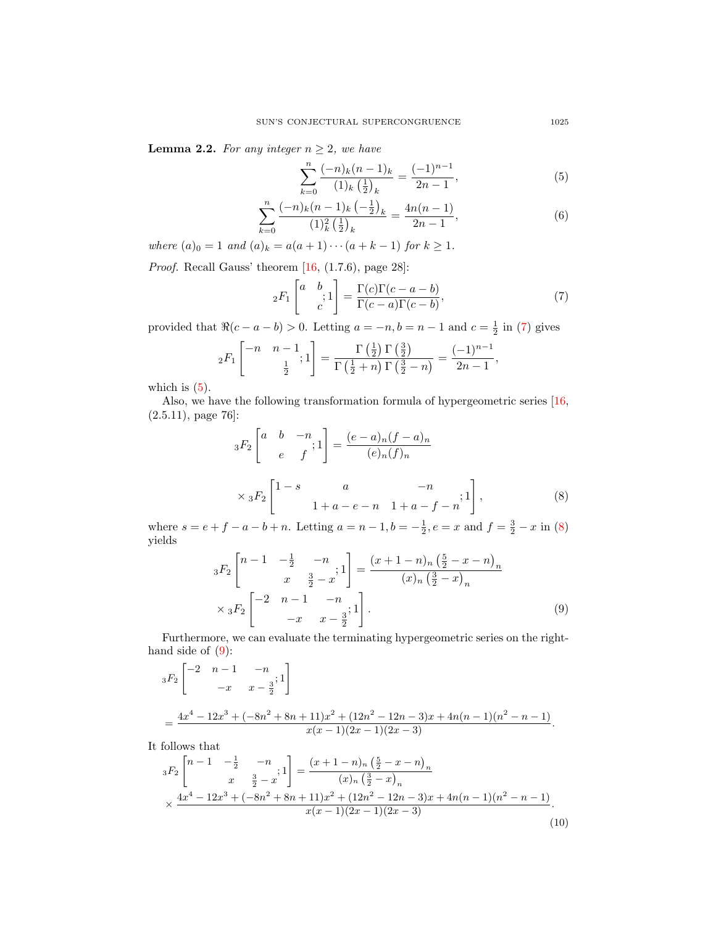**Lemma 2.2.** For any integer  $n \geq 2$ , we have

<span id="page-2-5"></span><span id="page-2-1"></span>
$$
\sum_{k=0}^{n} \frac{(-n)_k (n-1)_k}{(1)_k \left(\frac{1}{2}\right)_k} = \frac{(-1)^{n-1}}{2n-1},\tag{5}
$$

$$
\sum_{k=0}^{n} \frac{(-n)_k (n-1)_k \left(-\frac{1}{2}\right)_k}{(1)_k^2 \left(\frac{1}{2}\right)_k} = \frac{4n(n-1)}{2n-1},\tag{6}
$$

where  $(a)_0 = 1$  and  $(a)_k = a(a + 1) \cdots (a + k - 1)$  for  $k \ge 1$ .

*Proof.* Recall Gauss' theorem  $[16, (1.7.6),$  page 28]:

<span id="page-2-0"></span>
$$
{}_2F_1\left[\begin{matrix}a & b \\ & \vdots \\ & c\end{matrix}\right] = \frac{\Gamma(c)\Gamma(c-a-b)}{\Gamma(c-a)\Gamma(c-b)},\tag{7}
$$

provided that  $\Re(c - a - b) > 0$ . Letting  $a = -n, b = n - 1$  and  $c = \frac{1}{2}$  in [\(7\)](#page-2-0) gives

$$
{}_2F_1\left[\begin{matrix} -n & n-1 \\ & \frac{1}{2} \end{matrix}; 1\right] = \frac{\Gamma\left(\frac{1}{2}\right)\Gamma\left(\frac{3}{2}\right)}{\Gamma\left(\frac{1}{2}+n\right)\Gamma\left(\frac{3}{2}-n\right)} = \frac{(-1)^{n-1}}{2n-1},
$$

which is  $(5)$ .

Also, we have the following transformation formula of hypergeometric series [\[16,](#page-7-16) (2.5.11), page 76]:

<span id="page-2-2"></span>
$$
{}_{3}F_{2}\begin{bmatrix} a & b & -n \\ e & f \end{bmatrix} = \frac{(e-a)_{n}(f-a)_{n}}{(e)_{n}(f)_{n}}
$$
  

$$
\times {}_{3}F_{2}\begin{bmatrix} 1-s & a & -n \\ 1+a-e-n & 1+a-f-n \end{bmatrix},
$$
 (8)

where  $s = e + f - a - b + n$ . Letting  $a = n - 1$ ,  $b = -\frac{1}{2}$ ,  $e = x$  and  $f = \frac{3}{2} - x$  in [\(8\)](#page-2-2) yields

<span id="page-2-3"></span>
$$
{}_{3}F_{2}\left[\begin{array}{ccc} n-1 & -\frac{1}{2} & -n \\ & x & \frac{3}{2} - x \end{array}; 1\right] = \frac{(x+1-n)_{n}(\frac{5}{2} - x - n)_{n}}{(x)_{n}(\frac{3}{2} - x)_{n}}
$$
  

$$
\times {}_{3}F_{2}\left[\begin{array}{ccc} -2 & n-1 & -n \\ & -x & x - \frac{3}{2} \end{array}; 1\right].
$$
 (9)

Furthermore, we can evaluate the terminating hypergeometric series on the righthand side of  $(9)$ :

$$
{}_{3}F_{2}\left[\begin{matrix} -2 & n-1 & -n \\ & -x & x-\frac{3}{2} \end{matrix};1\right]
$$
  
= 
$$
\frac{4x^4 - 12x^3 + (-8n^2 + 8n + 11)x^2 + (12n^2 - 12n - 3)x + 4n(n-1)(n^2 - n - 1)}{x(x-1)(2x-1)(2x-3)}.
$$

It follows that

<span id="page-2-4"></span>
$$
{}_{3}F_{2}\left[\begin{array}{cc} n-1 & -\frac{1}{2} & -n \\ x & \frac{3}{2} - x \end{array}; 1\right] = \frac{(x+1-n)_{n}(\frac{5}{2} - x - n)_{n}}{(x)_{n}(\frac{3}{2} - x)_{n}} \times \frac{4x^{4} - 12x^{3} + (-8n^{2} + 8n + 11)x^{2} + (12n^{2} - 12n - 3)x + 4n(n-1)(n^{2} - n - 1)}{x(x-1)(2x-1)(2x-3)}.
$$
\n(10)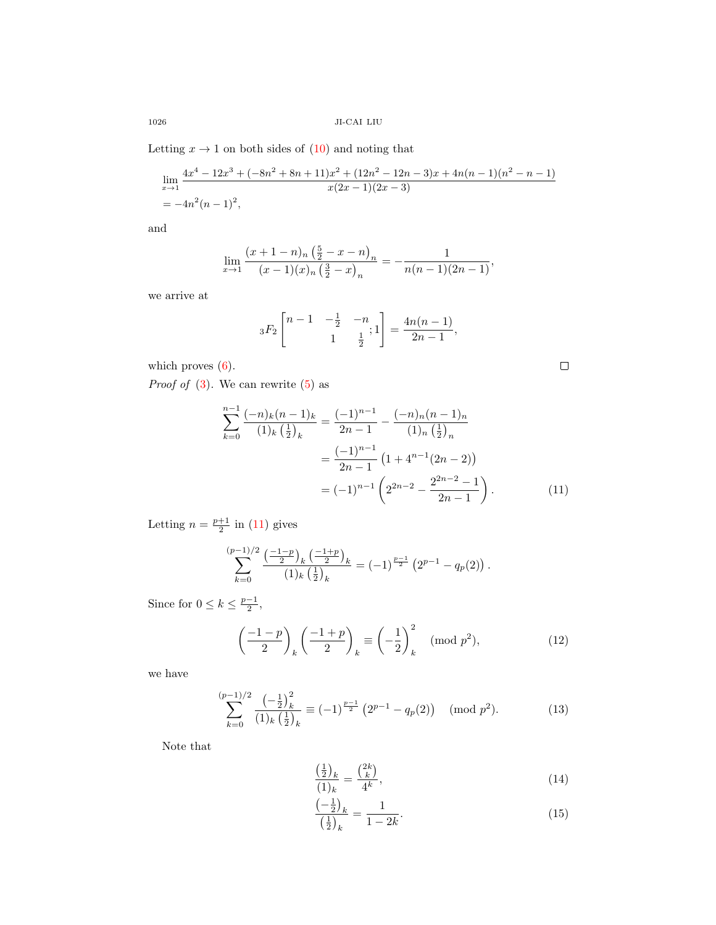Letting  $x \to 1$  on both sides of  $(10)$  and noting that

$$
\lim_{x \to 1} \frac{4x^4 - 12x^3 + (-8n^2 + 8n + 11)x^2 + (12n^2 - 12n - 3)x + 4n(n - 1)(n^2 - n - 1)}{x(2x - 1)(2x - 3)}
$$
  
=  $-4n^2(n - 1)^2$ ,

and

$$
\lim_{x \to 1} \frac{(x+1-n)_n \left(\frac{5}{2} - x - n\right)_n}{(x-1)(x)_n \left(\frac{3}{2} - x\right)_n} = -\frac{1}{n(n-1)(2n-1)},
$$

we arrive at

$$
{}_3F_2\left[ \begin{matrix} n-1 & -\frac{1}{2} & -n \\ & 1 & \frac{1}{2} \end{matrix} ; 1 \right] = \frac{4n(n-1)}{2n-1},
$$

which proves  $(6)$ .

*Proof of*  $(3)$ . We can rewrite  $(5)$  as

$$
\sum_{k=0}^{n-1} \frac{(-n)_k (n-1)_k}{(1)_k \left(\frac{1}{2}\right)_k} = \frac{(-1)^{n-1}}{2n-1} - \frac{(-n)_n (n-1)_n}{(1)_n \left(\frac{1}{2}\right)_n}
$$

$$
= \frac{(-1)^{n-1}}{2n-1} \left(1 + 4^{n-1} (2n-2)\right)
$$

$$
= (-1)^{n-1} \left(2^{2n-2} - \frac{2^{2n-2}-1}{2n-1}\right).
$$
(11)

<span id="page-3-3"></span><span id="page-3-0"></span> $\Box$ 

Letting  $n = \frac{p+1}{2}$  in [\(11\)](#page-3-0) gives

$$
\sum_{k=0}^{(p-1)/2} \frac{\left(\frac{-1-p}{2}\right)_k \left(\frac{-1+p}{2}\right)_k}{(1)_k \left(\frac{1}{2}\right)_k} = (-1)^{\frac{p-1}{2}} \left(2^{p-1} - q_p(2)\right).
$$

Since for  $0 \leq k \leq \frac{p-1}{2}$ ,

$$
\left(\frac{-1-p}{2}\right)_k \left(\frac{-1+p}{2}\right)_k \equiv \left(-\frac{1}{2}\right)_k^2 \pmod{p^2},\tag{12}
$$

we have

$$
\sum_{k=0}^{(p-1)/2} \frac{\left(-\frac{1}{2}\right)_k^2}{(1)_k \left(\frac{1}{2}\right)_k} \equiv (-1)^{\frac{p-1}{2}} \left(2^{p-1} - q_p(2)\right) \pmod{p^2}.
$$
 (13)

Note that

<span id="page-3-4"></span><span id="page-3-1"></span>
$$
\frac{\left(\frac{1}{2}\right)_k}{(1)_k} = \frac{\binom{2k}{k}}{4^k},\tag{14}
$$

<span id="page-3-2"></span>
$$
\frac{\left(-\frac{1}{2}\right)_k}{\left(\frac{1}{2}\right)_k} = \frac{1}{1-2k}.\tag{15}
$$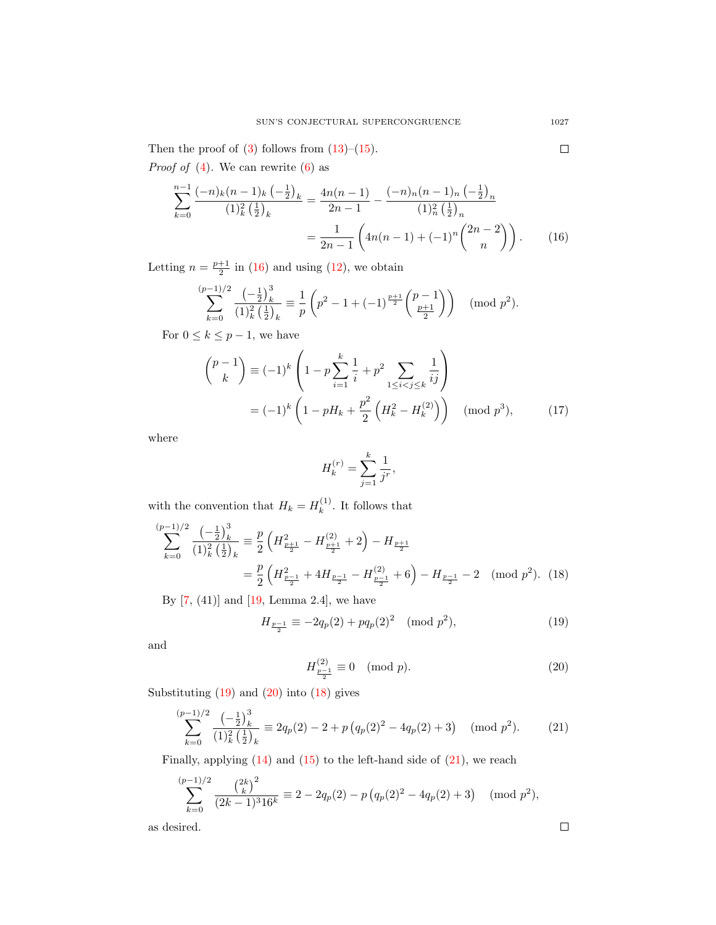Then the proof of  $(3)$  follows from  $(13)$ – $(15)$ .

*Proof of* [\(4\)](#page-1-5). We can rewrite  $(6)$  as

$$
\sum_{k=0}^{n-1} \frac{(-n)_k (n-1)_k \left(-\frac{1}{2}\right)_k}{(1)_k^2 \left(\frac{1}{2}\right)_k} = \frac{4n(n-1)}{2n-1} - \frac{(-n)_n (n-1)_n \left(-\frac{1}{2}\right)_n}{(1)_n^2 \left(\frac{1}{2}\right)_n}
$$

$$
= \frac{1}{2n-1} \left(4n(n-1) + (-1)^n \binom{2n-2}{n}\right). \tag{16}
$$

Letting  $n = \frac{p+1}{2}$  in [\(16\)](#page-4-0) and using [\(12\)](#page-3-3), we obtain

$$
\sum_{k=0}^{(p-1)/2} \frac{\left(-\frac{1}{2}\right)_k^3}{(1)_k^2 \left(\frac{1}{2}\right)_k} \equiv \frac{1}{p} \left(p^2 - 1 + (-1)^{\frac{p+1}{2}} \binom{p-1}{\frac{p+1}{2}}\right) \pmod{p^2}.
$$

For  $0 \leq k \leq p-1$ , we have

$$
\binom{p-1}{k} \equiv (-1)^k \left( 1 - p \sum_{i=1}^k \frac{1}{i} + p^2 \sum_{1 \le i < j \le k} \frac{1}{ij} \right)
$$
\n
$$
= (-1)^k \left( 1 - pH_k + \frac{p^2}{2} \left( H_k^2 - H_k^{(2)} \right) \right) \pmod{p^3},\tag{17}
$$

where

<span id="page-4-5"></span><span id="page-4-3"></span>
$$
H_k^{(r)} = \sum_{j=1}^k \frac{1}{j^r},
$$

with the convention that  $H_k = H_k^{(1)}$  $k^{(1)}$ . It follows that

$$
\sum_{k=0}^{(p-1)/2} \frac{\left(-\frac{1}{2}\right)_k^3}{\left(1\right)_k^2 \left(\frac{1}{2}\right)_k} \equiv \frac{p}{2} \left(H_{\frac{p+1}{2}}^2 - H_{\frac{p+1}{2}}^{(2)} + 2\right) - H_{\frac{p+1}{2}}
$$
\n
$$
= \frac{p}{2} \left(H_{\frac{p-1}{2}}^2 + 4H_{\frac{p-1}{2}} - H_{\frac{p-1}{2}}^{(2)} + 6\right) - H_{\frac{p-1}{2}} - 2 \pmod{p^2}. \quad (18)
$$

By [\[7,](#page-7-17) (41)] and [\[19,](#page-7-11) Lemma 2.4], we have

$$
H_{\frac{p-1}{2}} \equiv -2q_p(2) + pq_p(2)^2 \pmod{p^2},\tag{19}
$$

and

$$
H_{\frac{p-1}{2}}^{(2)} \equiv 0 \pmod{p}.
$$
 (20)

Substituting  $(19)$  and  $(20)$  into  $(18)$  gives

$$
\sum_{k=0}^{(p-1)/2} \frac{\left(-\frac{1}{2}\right)_k^3}{\left(1\right)_k^2 \left(\frac{1}{2}\right)_k} \equiv 2q_p(2) - 2 + p\left(q_p(2)^2 - 4q_p(2) + 3\right) \pmod{p^2}.
$$
 (21)

Finally, applying  $(14)$  and  $(15)$  to the left-hand side of  $(21)$ , we reach

$$
\sum_{k=0}^{(p-1)/2} \frac{\binom{2k}{k}^2}{(2k-1)^3 16^k} \equiv 2 - 2q_p(2) - p\left(q_p(2)^2 - 4q_p(2) + 3\right) \pmod{p^2},
$$

as desired.

<span id="page-4-0"></span> $\Box$ 

<span id="page-4-4"></span><span id="page-4-2"></span><span id="page-4-1"></span> $\Box$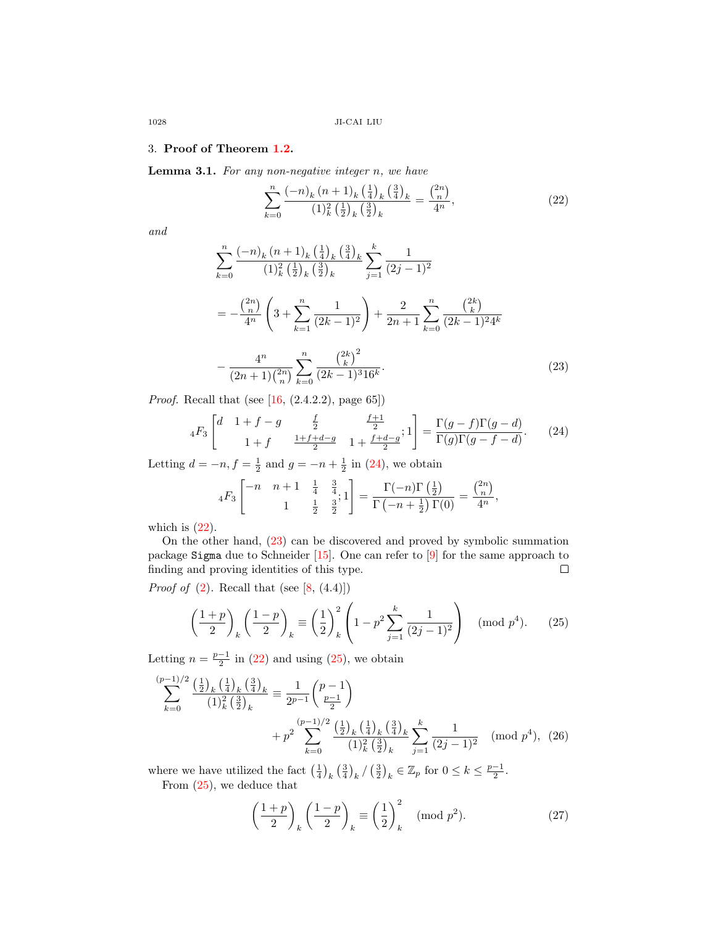### 3. Proof of Theorem [1.2.](#page-1-2)

**Lemma 3.1.** For any non-negative integer  $n$ , we have

<span id="page-5-2"></span><span id="page-5-1"></span>
$$
\sum_{k=0}^{n} \frac{(-n)_k (n+1)_k \left(\frac{1}{4}\right)_k \left(\frac{3}{4}\right)_k}{(1)_k^2 \left(\frac{1}{2}\right)_k \left(\frac{3}{2}\right)_k} = \frac{\binom{2n}{n}}{4^n},\tag{22}
$$

and

$$
\sum_{k=0}^{n} \frac{(-n)_k (n+1)_k \left(\frac{1}{4}\right)_k \left(\frac{3}{4}\right)_k}{(1)_k^2 \left(\frac{1}{2}\right)_k \left(\frac{3}{2}\right)_k} \sum_{j=1}^k \frac{1}{(2j-1)^2}
$$
  

$$
= -\frac{\binom{2n}{n}}{4^n} \left(3 + \sum_{k=1}^n \frac{1}{(2k-1)^2}\right) + \frac{2}{2n+1} \sum_{k=0}^n \frac{\binom{2k}{k}}{(2k-1)^2 4^k}
$$

$$
- \frac{4^n}{(2n+1)\binom{2n}{n}} \sum_{k=0}^n \frac{\binom{2k}{k}^2}{(2k-1)^3 16^k}.
$$
 (23)

*Proof.* Recall that (see  $[16, (2.4.2.2), \text{page } 65]$ )

$$
{}_{4}F_{3}\left[\begin{array}{ccc}d & 1+f-g & \frac{f}{2} & \frac{f+1}{2} \\ 1+f & \frac{1+f+d-g}{2} & 1+\frac{f+d-g}{2} \end{array};1\right] = \frac{\Gamma(g-f)\Gamma(g-d)}{\Gamma(g)\Gamma(g-f-d)}.\tag{24}
$$

Letting  $d = -n, f = \frac{1}{2}$  and  $g = -n + \frac{1}{2}$  in [\(24\)](#page-5-0), we obtain

<span id="page-5-0"></span>
$$
{}_{4}F_{3}\left[\begin{matrix} -n & n+1 & \frac{1}{4} & \frac{3}{4} \\ & 1 & \frac{1}{2} & \frac{3}{2} \end{matrix}; 1\right] = \frac{\Gamma(-n)\Gamma\left(\frac{1}{2}\right)}{\Gamma\left(-n+\frac{1}{2}\right)\Gamma(0)} = \frac{\binom{2n}{n}}{4^n},
$$

which is  $(22)$ .

On the other hand, [\(23\)](#page-5-2) can be discovered and proved by symbolic summation package Sigma due to Schneider [\[15\]](#page-7-18). One can refer to [\[9\]](#page-7-19) for the same approach to finding and proving identities of this type.  $\Box$ 

*Proof of*  $(2)$ . Recall that (see  $[8, (4.4)]$ )

$$
\left(\frac{1+p}{2}\right)_k \left(\frac{1-p}{2}\right)_k \equiv \left(\frac{1}{2}\right)_k^2 \left(1-p^2 \sum_{j=1}^k \frac{1}{(2j-1)^2}\right) \pmod{p^4}.\tag{25}
$$

Letting  $n = \frac{p-1}{2}$  in [\(22\)](#page-5-1) and using [\(25\)](#page-5-3), we obtain

$$
\sum_{k=0}^{(p-1)/2} \frac{\left(\frac{1}{2}\right)_k \left(\frac{1}{4}\right)_k \left(\frac{3}{4}\right)_k}{\left(1\right)_k^2 \left(\frac{3}{2}\right)_k} \equiv \frac{1}{2^{p-1}} {p-1 \choose \frac{p-1}{2}} + p^2 \sum_{k=0}^{(p-1)/2} \frac{\left(\frac{1}{2}\right)_k \left(\frac{1}{4}\right)_k \left(\frac{3}{4}\right)_k}{\left(1\right)_k^2 \left(\frac{3}{2}\right)_k} \sum_{j=1}^k \frac{1}{(2j-1)^2} \pmod{p^4}, (26)
$$

where we have utilized the fact  $\left(\frac{1}{4}\right)_k \left(\frac{3}{4}\right)_k / \left(\frac{3}{2}\right)_k \in \mathbb{Z}_p$  for  $0 \leq k \leq \frac{p-1}{2}$ . From [\(25\)](#page-5-3), we deduce that

<span id="page-5-5"></span><span id="page-5-4"></span><span id="page-5-3"></span>
$$
\left(\frac{1+p}{2}\right)_k \left(\frac{1-p}{2}\right)_k \equiv \left(\frac{1}{2}\right)_k^2 \pmod{p^2}.
$$
 (27)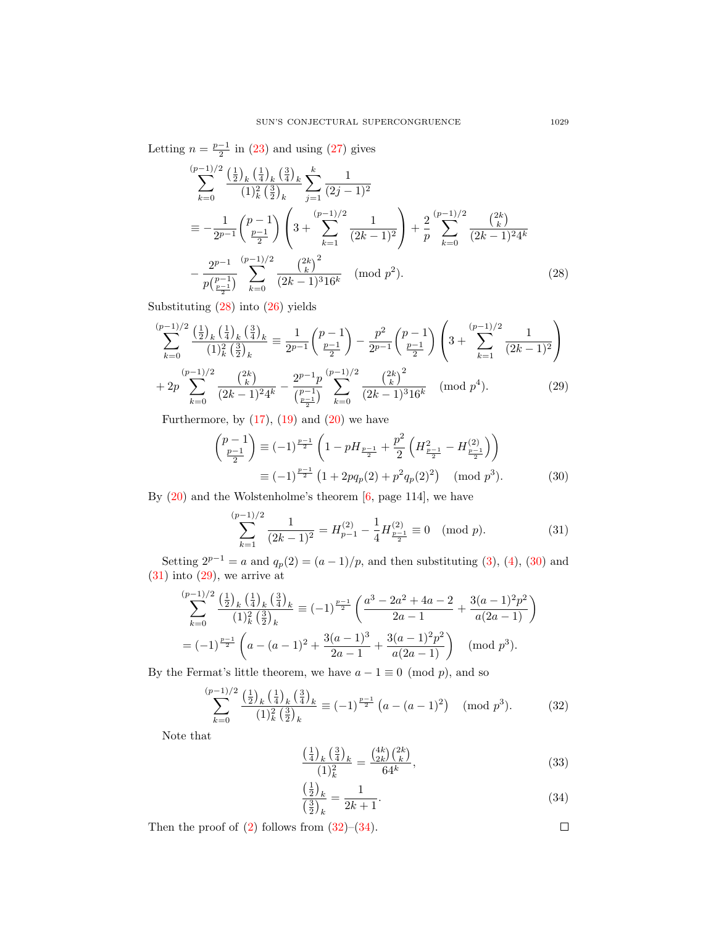Letting  $n = \frac{p-1}{2}$  in [\(23\)](#page-5-2) and using [\(27\)](#page-5-4) gives

<span id="page-6-0"></span>
$$
\sum_{k=0}^{(p-1)/2} \frac{\left(\frac{1}{2}\right)_k \left(\frac{1}{4}\right)_k \left(\frac{3}{4}\right)_k}{(1)_k^2 \left(\frac{3}{2}\right)_k} \sum_{j=1}^k \frac{1}{(2j-1)^2}
$$
\n
$$
\equiv -\frac{1}{2^{p-1}} \binom{p-1}{\frac{p-1}{2}} \left(3 + \sum_{k=1}^{(p-1)/2} \frac{1}{(2k-1)^2}\right) + \frac{2}{p} \sum_{k=0}^{(p-1)/2} \frac{\binom{2k}{k}}{(2k-1)^2 4^k}
$$
\n
$$
-\frac{2^{p-1}}{p\binom{p-1}{\frac{p-1}{2}}}\sum_{k=0}^{(p-1)/2} \frac{\binom{2k}{k}^2}{(2k-1)^3 16^k} \pmod{p^2}.
$$
\n(28)

Substituting [\(28\)](#page-6-0) into [\(26\)](#page-5-5) yields

$$
\sum_{k=0}^{(p-1)/2} \frac{\left(\frac{1}{2}\right)_k \left(\frac{1}{4}\right)_k \left(\frac{3}{4}\right)_k}{\left(1\right)_k^2 \left(\frac{3}{2}\right)_k} \equiv \frac{1}{2^{p-1}} {p-1 \choose \frac{p-1}{2}} - \frac{p^2}{2^{p-1}} {p-1 \choose \frac{p-1}{2}} \left(3 + \sum_{k=1}^{(p-1)/2} \frac{1}{(2k-1)^2}\right) + 2p \sum_{k=0}^{(p-1)/2} \frac{\binom{2k}{k}}{(2k-1)^2 4^k} - \frac{2^{p-1}p}{\binom{p-1}{\frac{p-1}{2}}} \sum_{k=0}^{(p-1)/2} \frac{\binom{2k}{k}^2}{(2k-1)^3 16^k} \pmod{p^4}.
$$
 (29)

Furthermore, by  $(17)$ ,  $(19)$  and  $(20)$  we have

<span id="page-6-3"></span>
$$
\begin{pmatrix} p-1 \ \frac{p-1}{2} \end{pmatrix} \equiv (-1)^{\frac{p-1}{2}} \left( 1 - pH_{\frac{p-1}{2}} + \frac{p^2}{2} \left( H_{\frac{p-1}{2}}^2 - H_{\frac{p-1}{2}}^{(2)} \right) \right)
$$

$$
\equiv (-1)^{\frac{p-1}{2}} \left( 1 + 2pq_p(2) + p^2q_p(2)^2 \right) \pmod{p^3}.
$$
 (30)

By  $(20)$  and the Wolstenholme's theorem  $[6, \text{page 114}]$ , we have

<span id="page-6-1"></span>
$$
\sum_{k=1}^{(p-1)/2} \frac{1}{(2k-1)^2} = H_{p-1}^{(2)} - \frac{1}{4} H_{\frac{p-1}{2}}^{(2)} \equiv 0 \pmod{p}.
$$
 (31)

Setting  $2^{p-1} = a$  and  $q_p(2) = (a-1)/p$ , and then substituting [\(3\)](#page-1-4), [\(4\)](#page-1-5), [\(30\)](#page-6-1) and  $(31)$  into  $(29)$ , we arrive at

$$
\sum_{k=0}^{(p-1)/2} \frac{\left(\frac{1}{2}\right)_k \left(\frac{1}{4}\right)_k \left(\frac{3}{4}\right)_k}{(1)_k^2 \left(\frac{3}{2}\right)_k} \equiv (-1)^{\frac{p-1}{2}} \left(\frac{a^3 - 2a^2 + 4a - 2}{2a - 1} + \frac{3(a - 1)^2 p^2}{a(2a - 1)}\right)
$$
  
=  $(-1)^{\frac{p-1}{2}} \left(a - (a - 1)^2 + \frac{3(a - 1)^3}{2a - 1} + \frac{3(a - 1)^2 p^2}{a(2a - 1)}\right) \pmod{p^3}.$ 

By the Fermat's little theorem, we have  $a - 1 \equiv 0 \pmod{p}$ , and so

$$
\sum_{k=0}^{(p-1)/2} \frac{\left(\frac{1}{2}\right)_k \left(\frac{1}{4}\right)_k \left(\frac{3}{4}\right)_k}{(1)_k^2 \left(\frac{3}{2}\right)_k} \equiv (-1)^{\frac{p-1}{2}} \left(a - (a-1)^2\right) \pmod{p^3}.
$$
 (32)

Note that

$$
\frac{\left(\frac{1}{4}\right)_k \left(\frac{3}{4}\right)_k}{(1)_k^2} = \frac{\binom{4k}{2k} \binom{2k}{k}}{64^k},\tag{33}
$$

$$
\frac{\left(\frac{1}{2}\right)_k}{\left(\frac{3}{2}\right)_k} = \frac{1}{2k+1}.\tag{34}
$$

<span id="page-6-5"></span><span id="page-6-4"></span><span id="page-6-2"></span> $\Box$ 

Then the proof of  $(2)$  follows from  $(32)$ – $(34)$ .